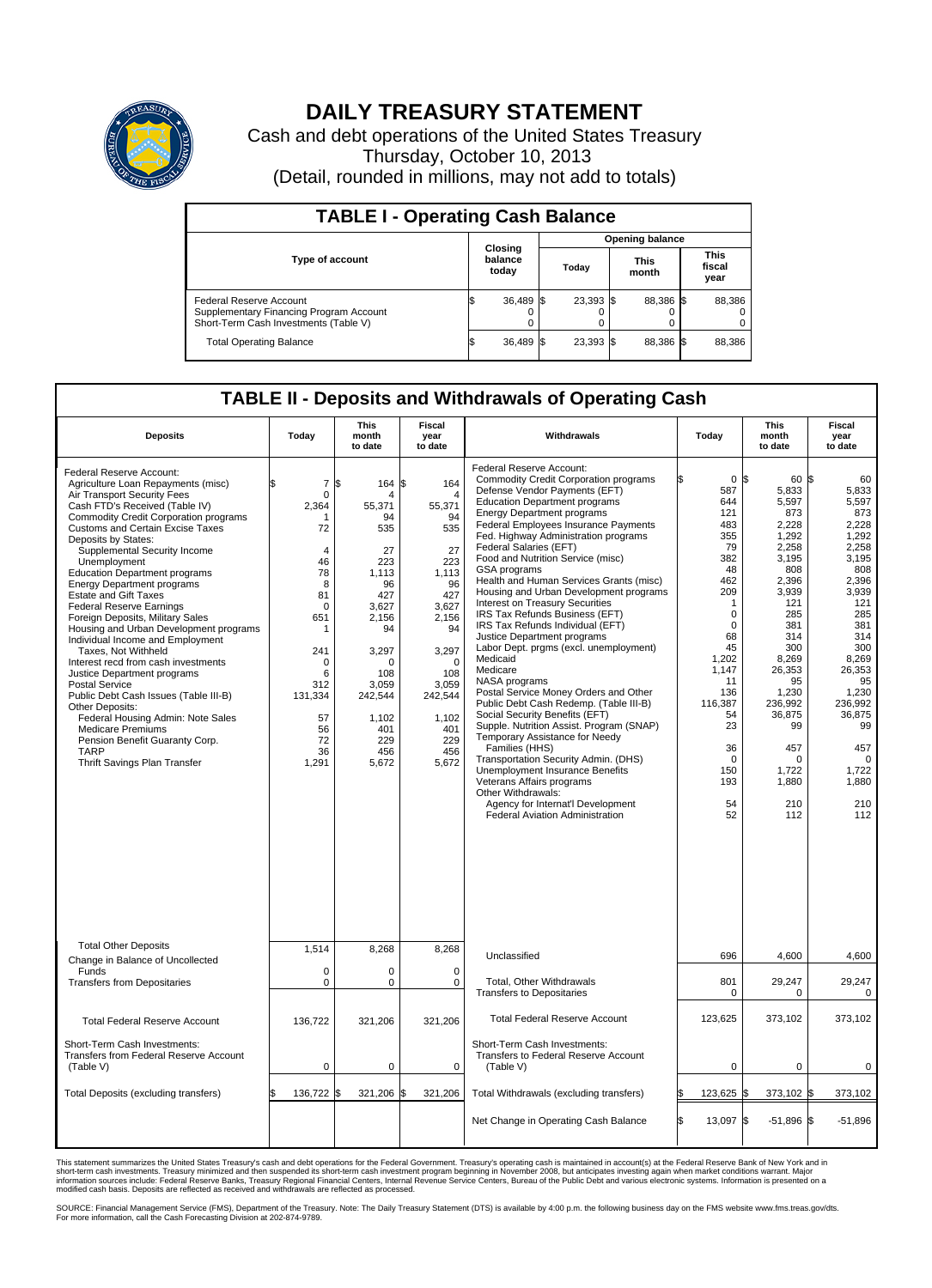

## **DAILY TREASURY STATEMENT**

Cash and debt operations of the United States Treasury Thursday, October 10, 2013 (Detail, rounded in millions, may not add to totals)

| <b>TABLE I - Operating Cash Balance</b>                                                                     |  |                             |  |                        |  |                      |  |                               |  |  |  |
|-------------------------------------------------------------------------------------------------------------|--|-----------------------------|--|------------------------|--|----------------------|--|-------------------------------|--|--|--|
|                                                                                                             |  |                             |  | <b>Opening balance</b> |  |                      |  |                               |  |  |  |
| <b>Type of account</b>                                                                                      |  | Closing<br>balance<br>today |  | Today                  |  | <b>This</b><br>month |  | <b>This</b><br>fiscal<br>year |  |  |  |
| Federal Reserve Account<br>Supplementary Financing Program Account<br>Short-Term Cash Investments (Table V) |  | 36,489 \$                   |  | 23,393 \$              |  | 88.386 \$            |  | 88,386                        |  |  |  |
| <b>Total Operating Balance</b>                                                                              |  | 36,489 \$                   |  | $23.393$ \$            |  | 88,386 \$            |  | 88,386                        |  |  |  |

## **TABLE II - Deposits and Withdrawals of Operating Cash**

| <b>Deposits</b>                                                                                                                                                                                                                                                                                                                                                                                                                                                                                                                                                                                                                                                                                                                                                                                                                                                                                         | Today                                                                                                                                                                                                                 | <b>This</b><br>month<br>to date                                                                                                                                                   | <b>Fiscal</b><br>year<br>to date                                                                                                                                                                        | Withdrawals                                                                                                                                                                                                                                                                                                                                                                                                                                                                                                                                                                                                                                                                                                                                                                                                                                                                                                                                                                                                                                                                                                    | Today                                                                                                                                                                                                                                         | <b>This</b><br>month<br>to date                                                                                                                                                                                                                   | <b>Fiscal</b><br>year<br>to date                                                                                                                                                                                                            |
|---------------------------------------------------------------------------------------------------------------------------------------------------------------------------------------------------------------------------------------------------------------------------------------------------------------------------------------------------------------------------------------------------------------------------------------------------------------------------------------------------------------------------------------------------------------------------------------------------------------------------------------------------------------------------------------------------------------------------------------------------------------------------------------------------------------------------------------------------------------------------------------------------------|-----------------------------------------------------------------------------------------------------------------------------------------------------------------------------------------------------------------------|-----------------------------------------------------------------------------------------------------------------------------------------------------------------------------------|---------------------------------------------------------------------------------------------------------------------------------------------------------------------------------------------------------|----------------------------------------------------------------------------------------------------------------------------------------------------------------------------------------------------------------------------------------------------------------------------------------------------------------------------------------------------------------------------------------------------------------------------------------------------------------------------------------------------------------------------------------------------------------------------------------------------------------------------------------------------------------------------------------------------------------------------------------------------------------------------------------------------------------------------------------------------------------------------------------------------------------------------------------------------------------------------------------------------------------------------------------------------------------------------------------------------------------|-----------------------------------------------------------------------------------------------------------------------------------------------------------------------------------------------------------------------------------------------|---------------------------------------------------------------------------------------------------------------------------------------------------------------------------------------------------------------------------------------------------|---------------------------------------------------------------------------------------------------------------------------------------------------------------------------------------------------------------------------------------------|
| Federal Reserve Account:<br>Agriculture Loan Repayments (misc)<br>Air Transport Security Fees<br>Cash FTD's Received (Table IV)<br><b>Commodity Credit Corporation programs</b><br><b>Customs and Certain Excise Taxes</b><br>Deposits by States:<br>Supplemental Security Income<br>Unemployment<br><b>Education Department programs</b><br><b>Energy Department programs</b><br><b>Estate and Gift Taxes</b><br><b>Federal Reserve Earnings</b><br>Foreign Deposits, Military Sales<br>Housing and Urban Development programs<br>Individual Income and Employment<br>Taxes. Not Withheld<br>Interest recd from cash investments<br>Justice Department programs<br><b>Postal Service</b><br>Public Debt Cash Issues (Table III-B)<br>Other Deposits:<br>Federal Housing Admin: Note Sales<br><b>Medicare Premiums</b><br>Pension Benefit Guaranty Corp.<br><b>TARP</b><br>Thrift Savings Plan Transfer | $\overline{7}$<br>\$<br>$\mathbf 0$<br>2,364<br>-1<br>72<br>$\overline{4}$<br>46<br>78<br>8<br>81<br>$\mathbf 0$<br>651<br>$\mathbf{1}$<br>241<br>$\mathbf 0$<br>6<br>312<br>131,334<br>57<br>56<br>72<br>36<br>1,291 | l\$<br>164<br>Δ<br>55,371<br>94<br>535<br>27<br>223<br>1.113<br>96<br>427<br>3.627<br>2,156<br>94<br>3,297<br>O<br>108<br>3,059<br>242,544<br>1,102<br>401<br>229<br>456<br>5,672 | S.<br>164<br>$\overline{4}$<br>55,371<br>94<br>535<br>27<br>223<br>1.113<br>96<br>427<br>3.627<br>2,156<br>94<br>3,297<br>$\mathbf 0$<br>108<br>3,059<br>242,544<br>1,102<br>401<br>229<br>456<br>5,672 | Federal Reserve Account:<br><b>Commodity Credit Corporation programs</b><br>Defense Vendor Payments (EFT)<br><b>Education Department programs</b><br><b>Energy Department programs</b><br>Federal Employees Insurance Payments<br>Fed. Highway Administration programs<br>Federal Salaries (EFT)<br>Food and Nutrition Service (misc)<br><b>GSA</b> programs<br>Health and Human Services Grants (misc)<br>Housing and Urban Development programs<br>Interest on Treasury Securities<br>IRS Tax Refunds Business (EFT)<br>IRS Tax Refunds Individual (EFT)<br>Justice Department programs<br>Labor Dept. prgms (excl. unemployment)<br>Medicaid<br>Medicare<br>NASA programs<br>Postal Service Money Orders and Other<br>Public Debt Cash Redemp. (Table III-B)<br>Social Security Benefits (EFT)<br>Supple. Nutrition Assist. Program (SNAP)<br>Temporary Assistance for Needy<br>Families (HHS)<br>Transportation Security Admin. (DHS)<br><b>Unemployment Insurance Benefits</b><br>Veterans Affairs programs<br>Other Withdrawals:<br>Agency for Internat'l Development<br>Federal Aviation Administration | 0 <sup>5</sup><br>587<br>644<br>121<br>483<br>355<br>79<br>382<br>48<br>462<br>209<br>$\mathbf 1$<br>$\mathbf 0$<br>$\mathbf 0$<br>68<br>45<br>1,202<br>1,147<br>11<br>136<br>116,387<br>54<br>23<br>36<br>$\Omega$<br>150<br>193<br>54<br>52 | $60$ $\sqrt{5}$<br>5,833<br>5,597<br>873<br>2,228<br>1,292<br>2.258<br>3,195<br>808<br>2,396<br>3,939<br>121<br>285<br>381<br>314<br>300<br>8,269<br>26,353<br>95<br>1,230<br>236,992<br>36,875<br>99<br>457<br>0<br>1,722<br>1,880<br>210<br>112 | 60<br>5,833<br>5,597<br>873<br>2,228<br>1,292<br>2.258<br>3,195<br>808<br>2,396<br>3,939<br>121<br>285<br>381<br>314<br>300<br>8,269<br>26,353<br>95<br>1,230<br>236,992<br>36,875<br>99<br>457<br>$\Omega$<br>1,722<br>1,880<br>210<br>112 |
| <b>Total Other Deposits</b>                                                                                                                                                                                                                                                                                                                                                                                                                                                                                                                                                                                                                                                                                                                                                                                                                                                                             | 1,514                                                                                                                                                                                                                 | 8,268                                                                                                                                                                             | 8,268                                                                                                                                                                                                   | Unclassified                                                                                                                                                                                                                                                                                                                                                                                                                                                                                                                                                                                                                                                                                                                                                                                                                                                                                                                                                                                                                                                                                                   | 696                                                                                                                                                                                                                                           | 4,600                                                                                                                                                                                                                                             | 4,600                                                                                                                                                                                                                                       |
| Change in Balance of Uncollected<br>Funds                                                                                                                                                                                                                                                                                                                                                                                                                                                                                                                                                                                                                                                                                                                                                                                                                                                               | $\mathbf 0$                                                                                                                                                                                                           | $\Omega$                                                                                                                                                                          | $\Omega$                                                                                                                                                                                                |                                                                                                                                                                                                                                                                                                                                                                                                                                                                                                                                                                                                                                                                                                                                                                                                                                                                                                                                                                                                                                                                                                                |                                                                                                                                                                                                                                               |                                                                                                                                                                                                                                                   |                                                                                                                                                                                                                                             |
| <b>Transfers from Depositaries</b>                                                                                                                                                                                                                                                                                                                                                                                                                                                                                                                                                                                                                                                                                                                                                                                                                                                                      | $\mathbf 0$                                                                                                                                                                                                           | 0                                                                                                                                                                                 | $\mathbf 0$                                                                                                                                                                                             | Total, Other Withdrawals<br><b>Transfers to Depositaries</b>                                                                                                                                                                                                                                                                                                                                                                                                                                                                                                                                                                                                                                                                                                                                                                                                                                                                                                                                                                                                                                                   | 801<br>$\mathbf 0$                                                                                                                                                                                                                            | 29,247<br>0                                                                                                                                                                                                                                       | 29,247<br>0                                                                                                                                                                                                                                 |
| <b>Total Federal Reserve Account</b>                                                                                                                                                                                                                                                                                                                                                                                                                                                                                                                                                                                                                                                                                                                                                                                                                                                                    | 136,722                                                                                                                                                                                                               | 321,206                                                                                                                                                                           | 321,206                                                                                                                                                                                                 | <b>Total Federal Reserve Account</b>                                                                                                                                                                                                                                                                                                                                                                                                                                                                                                                                                                                                                                                                                                                                                                                                                                                                                                                                                                                                                                                                           | 123,625                                                                                                                                                                                                                                       | 373,102                                                                                                                                                                                                                                           | 373,102                                                                                                                                                                                                                                     |
| Short-Term Cash Investments:<br>Transfers from Federal Reserve Account<br>(Table V)                                                                                                                                                                                                                                                                                                                                                                                                                                                                                                                                                                                                                                                                                                                                                                                                                     | $\pmb{0}$                                                                                                                                                                                                             | 0                                                                                                                                                                                 | 0                                                                                                                                                                                                       | Short-Term Cash Investments:<br>Transfers to Federal Reserve Account<br>(Table V)                                                                                                                                                                                                                                                                                                                                                                                                                                                                                                                                                                                                                                                                                                                                                                                                                                                                                                                                                                                                                              | $\mathbf 0$                                                                                                                                                                                                                                   | 0                                                                                                                                                                                                                                                 | 0                                                                                                                                                                                                                                           |
| Total Deposits (excluding transfers)                                                                                                                                                                                                                                                                                                                                                                                                                                                                                                                                                                                                                                                                                                                                                                                                                                                                    | 136,722                                                                                                                                                                                                               | 321,206<br>ß.                                                                                                                                                                     | 321,206<br>\$                                                                                                                                                                                           | Total Withdrawals (excluding transfers)                                                                                                                                                                                                                                                                                                                                                                                                                                                                                                                                                                                                                                                                                                                                                                                                                                                                                                                                                                                                                                                                        | 123,625 \$<br>\$                                                                                                                                                                                                                              | 373,102 \$                                                                                                                                                                                                                                        | 373,102                                                                                                                                                                                                                                     |
|                                                                                                                                                                                                                                                                                                                                                                                                                                                                                                                                                                                                                                                                                                                                                                                                                                                                                                         |                                                                                                                                                                                                                       |                                                                                                                                                                                   |                                                                                                                                                                                                         | Net Change in Operating Cash Balance                                                                                                                                                                                                                                                                                                                                                                                                                                                                                                                                                                                                                                                                                                                                                                                                                                                                                                                                                                                                                                                                           | l\$<br>13,097 \$                                                                                                                                                                                                                              | $-51,896$ \$                                                                                                                                                                                                                                      | $-51,896$                                                                                                                                                                                                                                   |

This statement summarizes the United States Treasury's cash and debt operations for the Federal Government. Treasury's operating cash is maintained in account(s) at the Federal Reserve Bank of New York and in<br>short-term ca

SOURCE: Financial Management Service (FMS), Department of the Treasury. Note: The Daily Treasury Statement (DTS) is available by 4:00 p.m. the following business day on the FMS website www.fms.treas.gov/dts.<br>For more infor